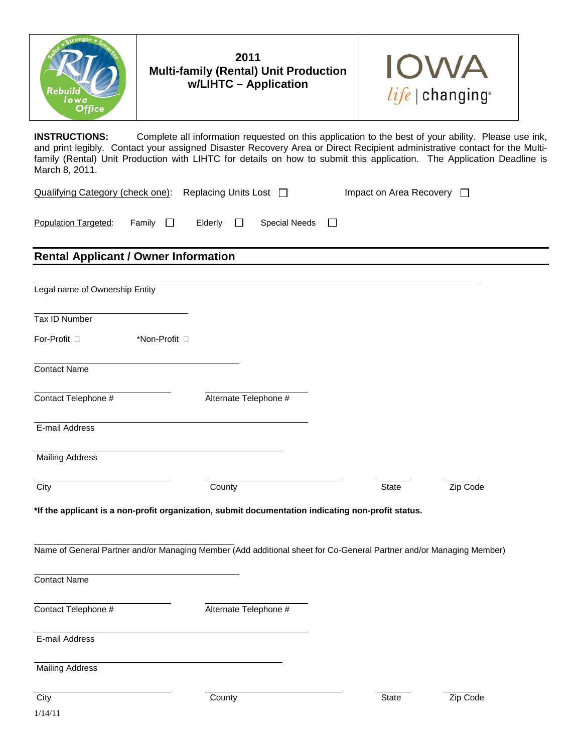



**INSTRUCTIONS:** Complete all information requested on this application to the best of your ability. Please use ink, and print legibly. Contact your assigned Disaster Recovery Area or Direct Recipient administrative contact for the Multifamily (Rental) Unit Production with LIHTC for details on how to submit this application. The Application Deadline is March 8, 2011.

 $\Box$ 

Qualifying Category (check one): Replacing Units Lost  $\Box$  Impact on Area Recovery  $\Box$ 

Population Targeted: Family  $\Box$  Elderly  $\Box$  Special Needs

## **Rental Applicant / Owner Information**

| Legal name of Ownership Entity |                                                                                                                     |              |          |
|--------------------------------|---------------------------------------------------------------------------------------------------------------------|--------------|----------|
|                                |                                                                                                                     |              |          |
| Tax ID Number                  |                                                                                                                     |              |          |
| For-Profit □                   | *Non-Profit <sup>[]</sup>                                                                                           |              |          |
| Contact Name                   |                                                                                                                     |              |          |
| Contact Telephone #            | Alternate Telephone #                                                                                               |              |          |
| E-mail Address                 |                                                                                                                     |              |          |
| <b>Mailing Address</b>         |                                                                                                                     |              |          |
| City                           | County                                                                                                              | <b>State</b> | Zip Code |
|                                | *If the applicant is a non-profit organization, submit documentation indicating non-profit status.                  |              |          |
|                                | Name of General Partner and/or Managing Member (Add additional sheet for Co-General Partner and/or Managing Member) |              |          |
| <b>Contact Name</b>            |                                                                                                                     |              |          |
| Contact Telephone #            | Alternate Telephone #                                                                                               |              |          |
| E-mail Address                 |                                                                                                                     |              |          |
| <b>Mailing Address</b>         |                                                                                                                     |              |          |
| City                           | County                                                                                                              | <b>State</b> | Zip Code |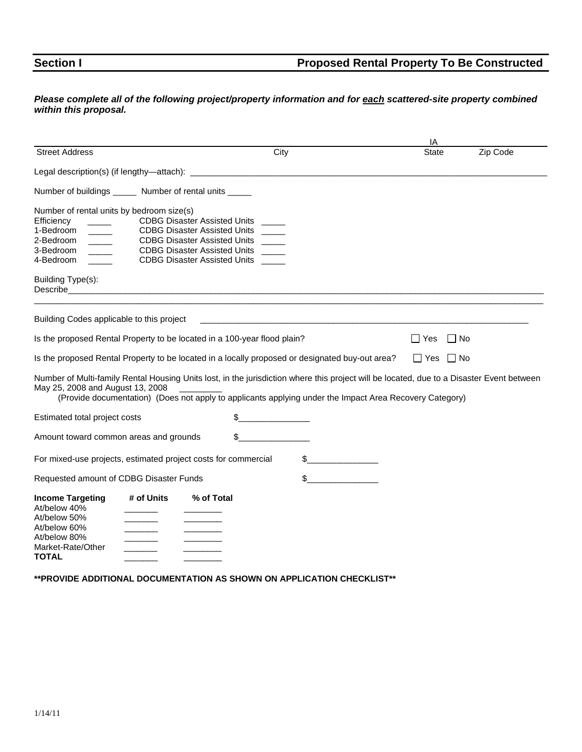## **Section I Proposed Rental Property To Be Constructed**

#### *Please complete all of the following project/property information and for each scattered-site property combined within this proposal.*

|                                                                                                                                                       |                                           |                                                                                                                                                                                                                                                      |                                                                                                                       | IA           |                      |          |
|-------------------------------------------------------------------------------------------------------------------------------------------------------|-------------------------------------------|------------------------------------------------------------------------------------------------------------------------------------------------------------------------------------------------------------------------------------------------------|-----------------------------------------------------------------------------------------------------------------------|--------------|----------------------|----------|
| <b>Street Address</b>                                                                                                                                 |                                           | City                                                                                                                                                                                                                                                 |                                                                                                                       | <b>State</b> |                      | Zip Code |
|                                                                                                                                                       |                                           |                                                                                                                                                                                                                                                      |                                                                                                                       |              |                      |          |
| Number of buildings _______ Number of rental units ______                                                                                             |                                           |                                                                                                                                                                                                                                                      |                                                                                                                       |              |                      |          |
| Number of rental units by bedroom size(s)<br>Efficiency<br>1-Bedroom<br>2-Bedroom<br>$\sim$ 100 $\sim$<br>3-Bedroom<br>4-Bedroom<br>Building Type(s): |                                           | <b>CDBG Disaster Assisted Units</b><br><b>CDBG Disaster Assisted Units</b><br>CDBG Disaster Assisted Units ___<br><b>CDBG Disaster Assisted Units</b><br><b>CDBG Disaster Assisted Units</b>                                                         |                                                                                                                       |              |                      |          |
| Building Codes applicable to this project                                                                                                             |                                           |                                                                                                                                                                                                                                                      | <u> 1989 - Johann Stein, marwolaethau a bhann an t-Amhainn an t-Amhainn an t-Amhainn an t-Amhainn an t-Amhainn an</u> |              |                      |          |
|                                                                                                                                                       |                                           | Is the proposed Rental Property to be located in a 100-year flood plain?                                                                                                                                                                             |                                                                                                                       | Yes          | $\Box$ No            |          |
|                                                                                                                                                       |                                           | Is the proposed Rental Property to be located in a locally proposed or designated buy-out area?                                                                                                                                                      |                                                                                                                       |              | $\Box$ Yes $\Box$ No |          |
| May 25, 2008 and August 13, 2008                                                                                                                      |                                           | Number of Multi-family Rental Housing Units lost, in the jurisdiction where this project will be located, due to a Disaster Event between<br>(Provide documentation) (Does not apply to applicants applying under the Impact Area Recovery Category) |                                                                                                                       |              |                      |          |
| Estimated total project costs                                                                                                                         |                                           |                                                                                                                                                                                                                                                      |                                                                                                                       |              |                      |          |
| Amount toward common areas and grounds                                                                                                                |                                           | \$                                                                                                                                                                                                                                                   |                                                                                                                       |              |                      |          |
|                                                                                                                                                       |                                           | For mixed-use projects, estimated project costs for commercial                                                                                                                                                                                       | \$                                                                                                                    |              |                      |          |
| Requested amount of CDBG Disaster Funds                                                                                                               |                                           |                                                                                                                                                                                                                                                      | \$                                                                                                                    |              |                      |          |
| <b>Income Targeting</b><br>At/below 40%<br>At/below 50%<br>At/below 60%<br>At/below 80%<br>Market-Rate/Other<br><b>TOTAL</b>                          | # of Units<br><u> Louis Communication</u> | % of Total                                                                                                                                                                                                                                           |                                                                                                                       |              |                      |          |

**\*\*PROVIDE ADDITIONAL DOCUMENTATION AS SHOWN ON APPLICATION CHECKLIST\*\***